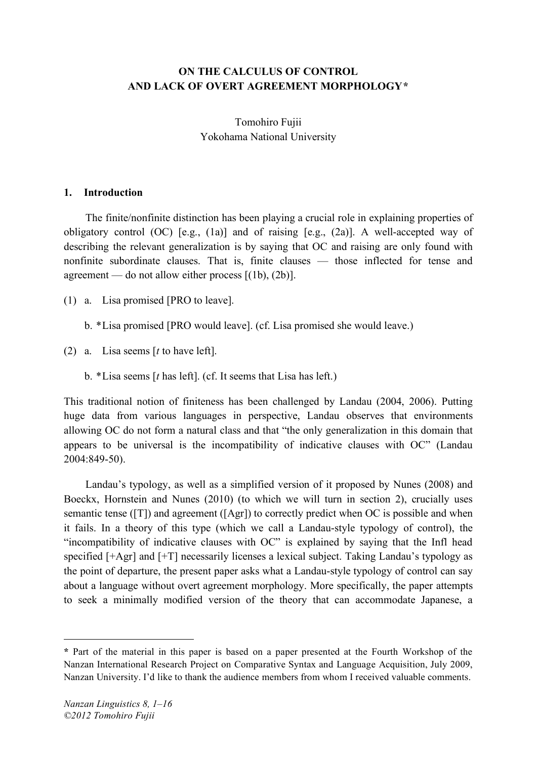# **ON THE CALCULUS OF CONTROL AND LACK OF OVERT AGREEMENT MORPHOLOGY\***

Tomohiro Fujii Yokohama National University

## **1. Introduction**

The finite/nonfinite distinction has been playing a crucial role in explaining properties of obligatory control (OC) [e.g., (1a)] and of raising [e.g., (2a)]. A well-accepted way of describing the relevant generalization is by saying that OC and raising are only found with nonfinite subordinate clauses. That is, finite clauses — those inflected for tense and agreement — do not allow either process  $[(1b), (2b)]$ .

- (1) a. Lisa promised [PRO to leave].
	- b. \*Lisa promised [PRO would leave]. (cf. Lisa promised she would leave.)

(2) a. Lisa seems [*t* to have left].

b. \*Lisa seems [*t* has left]. (cf. It seems that Lisa has left.)

This traditional notion of finiteness has been challenged by Landau (2004, 2006). Putting huge data from various languages in perspective, Landau observes that environments allowing OC do not form a natural class and that "the only generalization in this domain that appears to be universal is the incompatibility of indicative clauses with OC" (Landau 2004:849-50).

Landau's typology, as well as a simplified version of it proposed by Nunes (2008) and Boeckx, Hornstein and Nunes (2010) (to which we will turn in section 2), crucially uses semantic tense ([T]) and agreement ([Agr]) to correctly predict when OC is possible and when it fails. In a theory of this type (which we call a Landau-style typology of control), the "incompatibility of indicative clauses with OC" is explained by saying that the Infl head specified [+Agr] and [+T] necessarily licenses a lexical subject. Taking Landau's typology as the point of departure, the present paper asks what a Landau-style typology of control can say about a language without overt agreement morphology. More specifically, the paper attempts to seek a minimally modified version of the theory that can accommodate Japanese, a

 $\overline{a}$ 

**<sup>\*</sup>** Part of the material in this paper is based on a paper presented at the Fourth Workshop of the Nanzan International Research Project on Comparative Syntax and Language Acquisition, July 2009, Nanzan University. I'd like to thank the audience members from whom I received valuable comments.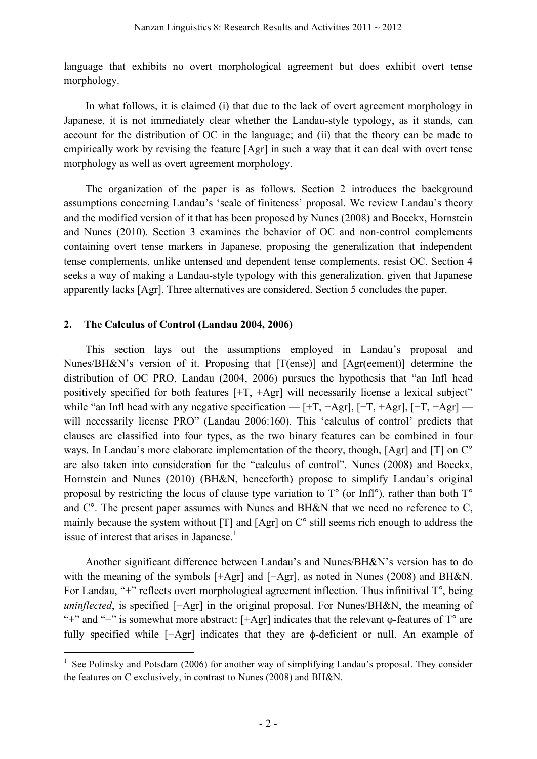language that exhibits no overt morphological agreement but does exhibit overt tense morphology.

In what follows, it is claimed (i) that due to the lack of overt agreement morphology in Japanese, it is not immediately clear whether the Landau-style typology, as it stands, can account for the distribution of OC in the language; and (ii) that the theory can be made to empirically work by revising the feature [Agr] in such a way that it can deal with overt tense morphology as well as overt agreement morphology.

The organization of the paper is as follows. Section 2 introduces the background assumptions concerning Landau's 'scale of finiteness' proposal. We review Landau's theory and the modified version of it that has been proposed by Nunes (2008) and Boeckx, Hornstein and Nunes (2010). Section 3 examines the behavior of OC and non-control complements containing overt tense markers in Japanese, proposing the generalization that independent tense complements, unlike untensed and dependent tense complements, resist OC. Section 4 seeks a way of making a Landau-style typology with this generalization, given that Japanese apparently lacks [Agr]. Three alternatives are considered. Section 5 concludes the paper.

## **2. The Calculus of Control (Landau 2004, 2006)**

This section lays out the assumptions employed in Landau's proposal and Nunes/BH&N's version of it. Proposing that [T(ense)] and [Agr(eement)] determine the distribution of OC PRO, Landau (2004, 2006) pursues the hypothesis that "an Infl head positively specified for both features [+T, +Agr] will necessarily license a lexical subject" while "an Infl head with any negative specification —  $[+T, -Agr]$ ,  $[-T, +Agr]$ ,  $[-T, -Agr]$ will necessarily license PRO" (Landau 2006:160). This 'calculus of control' predicts that clauses are classified into four types, as the two binary features can be combined in four ways. In Landau's more elaborate implementation of the theory, though, [Agr] and [T] on C<sup>°</sup> are also taken into consideration for the "calculus of control". Nunes (2008) and Boeckx, Hornstein and Nunes (2010) (BH&N, henceforth) propose to simplify Landau's original proposal by restricting the locus of clause type variation to  $T^{\circ}$  (or Infl<sup>o</sup>), rather than both  $T^{\circ}$ and C°. The present paper assumes with Nunes and BH&N that we need no reference to C, mainly because the system without [T] and [Agr] on C° still seems rich enough to address the issue of interest that arises in Japanese.<sup>1</sup>

Another significant difference between Landau's and Nunes/BH&N's version has to do with the meaning of the symbols [+Agr] and [−Agr], as noted in Nunes (2008) and BH&N. For Landau, "+" reflects overt morphological agreement inflection. Thus infinitival  $T^{\circ}$ , being *uninflected*, is specified [−Agr] in the original proposal. For Nunes/BH&N, the meaning of "+" and "−" is somewhat more abstract: [+Agr] indicates that the relevant φ-features of T° are fully specified while [−Agr] indicates that they are φ-deficient or null. An example of

<sup>&</sup>lt;sup>1</sup> See Polinsky and Potsdam (2006) for another way of simplifying Landau's proposal. They consider the features on C exclusively, in contrast to Nunes (2008) and BH&N.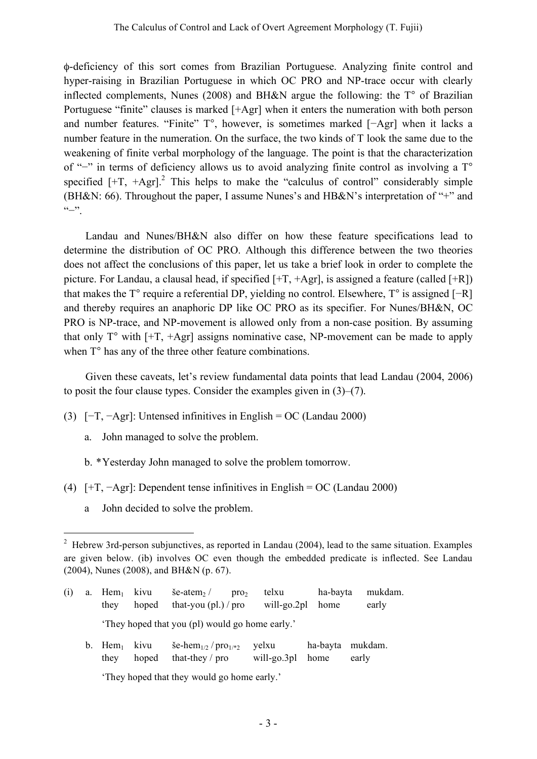φ-deficiency of this sort comes from Brazilian Portuguese. Analyzing finite control and hyper-raising in Brazilian Portuguese in which OC PRO and NP-trace occur with clearly inflected complements, Nunes (2008) and BH&N argue the following: the T° of Brazilian Portuguese "finite" clauses is marked [+Agr] when it enters the numeration with both person and number features. "Finite" T°, however, is sometimes marked [−Agr] when it lacks a number feature in the numeration. On the surface, the two kinds of T look the same due to the weakening of finite verbal morphology of the language. The point is that the characterization of "−" in terms of deficiency allows us to avoid analyzing finite control as involving a T° specified  $[+T, +Agr]$ <sup>2</sup>. This helps to make the "calculus of control" considerably simple (BH&N: 66). Throughout the paper, I assume Nunes's and HB&N's interpretation of "+" and  $"$ <sup>.</sup>

Landau and Nunes/BH&N also differ on how these feature specifications lead to determine the distribution of OC PRO. Although this difference between the two theories does not affect the conclusions of this paper, let us take a brief look in order to complete the picture. For Landau, a clausal head, if specified [+T, +Agr], is assigned a feature (called [+R]) that makes the T° require a referential DP, yielding no control. Elsewhere, T° is assigned [−R] and thereby requires an anaphoric DP like OC PRO as its specifier. For Nunes/BH&N, OC PRO is NP-trace, and NP-movement is allowed only from a non-case position. By assuming that only  $T^{\circ}$  with  $[+T, +Agr]$  assigns nominative case, NP-movement can be made to apply when  $T^{\circ}$  has any of the three other feature combinations.

Given these caveats, let's review fundamental data points that lead Landau (2004, 2006) to posit the four clause types. Consider the examples given in (3)–(7).

- (3) [−T, −Agr]: Untensed infinitives in English = OC (Landau 2000)
	- a. John managed to solve the problem.
	- b. \*Yesterday John managed to solve the problem tomorrow.
- (4) [+T, −Agr]: Dependent tense infinitives in English = OC (Landau 2000)
	- a John decided to solve the problem.

- (i) a. Hem<sub>1</sub> kivu še-atem<sub>2</sub> / pro<sub>2</sub> telxu ha-bayta mukdam. they hoped that-you  $\left( \text{pl.} \right) / \text{ pro}$  will-go.2pl home early 'They hoped that you (pl) would go home early.'
	- b. Hem<sub>1</sub> kivu še-hem<sub>1/2</sub> / pro<sub>1/\*2</sub> yelxu ha-bayta mukdam. they hoped that-they / pro will-go.3pl home early

'They hoped that they would go home early.'

 $2$  Hebrew 3rd-person subjunctives, as reported in Landau (2004), lead to the same situation. Examples are given below. (ib) involves OC even though the embedded predicate is inflected. See Landau (2004), Nunes (2008), and BH&N (p. 67).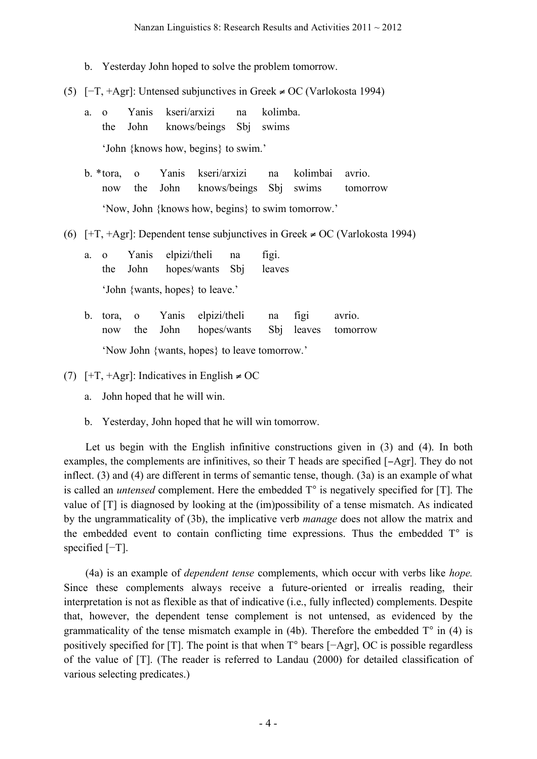- b. Yesterday John hoped to solve the problem tomorrow.
- (5) [−T, +Agr]: Untensed subjunctives in Greek ≠ OC (Varlokosta 1994)
	- a. o Yanis kseri/arxizi na kolimba. the John knows/beings Sbj swims 'John {knows how, begins} to swim.'
	- b. \*tora, o Yanis kseri/arxizi na kolimbai avrio. now the John knows/beings Sbj swims tomorrow 'Now, John {knows how, begins} to swim tomorrow.'
- (6)  $[+T, +Agr]$ : Dependent tense subjunctives in Greek  $\neq$  OC (Varlokosta 1994)
	- a. o Yanis elpizi/theli na figi. the John hopes/wants Sbj leaves 'John {wants, hopes} to leave.'
	- b. tora, o Yanis elpizi/theli na figi avrio. now the John hopes/wants Sbj leaves tomorrow 'Now John {wants, hopes} to leave tomorrow.'

(7)  $[+T, +Agr]$ : Indicatives in English  $\neq$  OC

- a. John hoped that he will win.
- b. Yesterday, John hoped that he will win tomorrow.

Let us begin with the English infinitive constructions given in (3) and (4). In both examples, the complements are infinitives, so their T heads are specified [−Agr]. They do not inflect. (3) and (4) are different in terms of semantic tense, though. (3a) is an example of what is called an *untensed* complement. Here the embedded T° is negatively specified for [T]. The value of [T] is diagnosed by looking at the (im)possibility of a tense mismatch. As indicated by the ungrammaticality of (3b), the implicative verb *manage* does not allow the matrix and the embedded event to contain conflicting time expressions. Thus the embedded  $T^{\circ}$  is specified [−T].

(4a) is an example of *dependent tense* complements, which occur with verbs like *hope.* Since these complements always receive a future-oriented or irrealis reading, their interpretation is not as flexible as that of indicative (i.e., fully inflected) complements. Despite that, however, the dependent tense complement is not untensed, as evidenced by the grammaticality of the tense mismatch example in (4b). Therefore the embedded  $T^{\circ}$  in (4) is positively specified for [T]. The point is that when T° bears [−Agr], OC is possible regardless of the value of [T]. (The reader is referred to Landau (2000) for detailed classification of various selecting predicates.)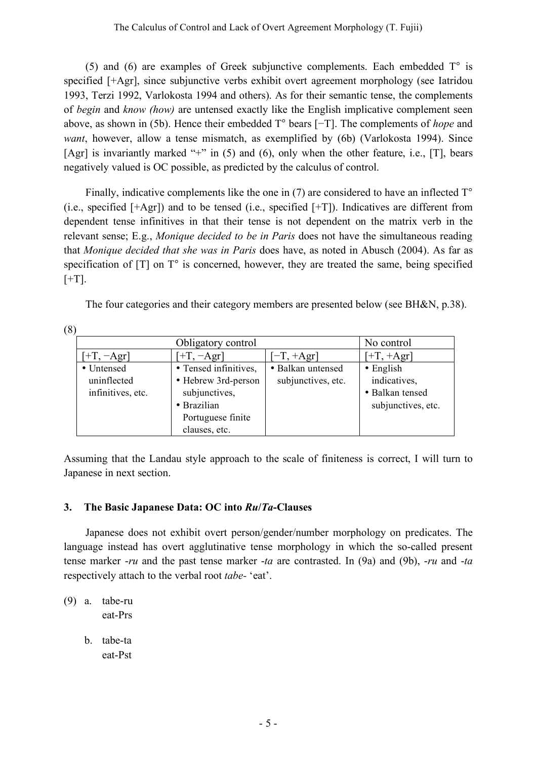(5) and (6) are examples of Greek subjunctive complements. Each embedded  $T^{\circ}$  is specified [+Agr], since subjunctive verbs exhibit overt agreement morphology (see Iatridou 1993, Terzi 1992, Varlokosta 1994 and others). As for their semantic tense, the complements of *begin* and *know (how)* are untensed exactly like the English implicative complement seen above, as shown in (5b). Hence their embedded T° bears [−T]. The complements of *hope* and *want*, however, allow a tense mismatch, as exemplified by (6b) (Varlokosta 1994). Since [Agr] is invariantly marked "+" in (5) and (6), only when the other feature, i.e., [T], bears negatively valued is OC possible, as predicted by the calculus of control.

Finally, indicative complements like the one in (7) are considered to have an inflected  $T^{\circ}$ (i.e., specified [+Agr]) and to be tensed (i.e., specified [+T]). Indicatives are different from dependent tense infinitives in that their tense is not dependent on the matrix verb in the relevant sense; E.g., *Monique decided to be in Paris* does not have the simultaneous reading that *Monique decided that she was in Paris* does have, as noted in Abusch (2004). As far as specification of [T] on T° is concerned, however, they are treated the same, being specified  $[+T]$ .

The four categories and their category members are presented below (see BH&N, p.38).

(8)

|                   | No control            |                    |                    |
|-------------------|-----------------------|--------------------|--------------------|
| $[+T, -Agr]$      | $[+T, -Agr]$          | $-T, +Agr$         | $[+T, +Agr]$       |
| • Untensed        | • Tensed infinitives, | • Balkan untensed  | $\bullet$ English  |
| uninflected       | • Hebrew 3rd-person   | subjunctives, etc. | indicatives,       |
| infinitives, etc. | subjunctives,         |                    | • Balkan tensed    |
|                   | · Brazilian           |                    | subjunctives, etc. |
|                   | Portuguese finite     |                    |                    |
|                   | clauses, etc.         |                    |                    |

Assuming that the Landau style approach to the scale of finiteness is correct, I will turn to Japanese in next section.

# **3. The Basic Japanese Data: OC into** *Ru***/***Ta***-Clauses**

Japanese does not exhibit overt person/gender/number morphology on predicates. The language instead has overt agglutinative tense morphology in which the so-called present tense marker -*ru* and the past tense marker -*ta* are contrasted. In (9a) and (9b), -*ru* and -*ta* respectively attach to the verbal root *tabe-* 'eat'.

(9) a. tabe-ru eat-Prs

> b. tabe-ta eat-Pst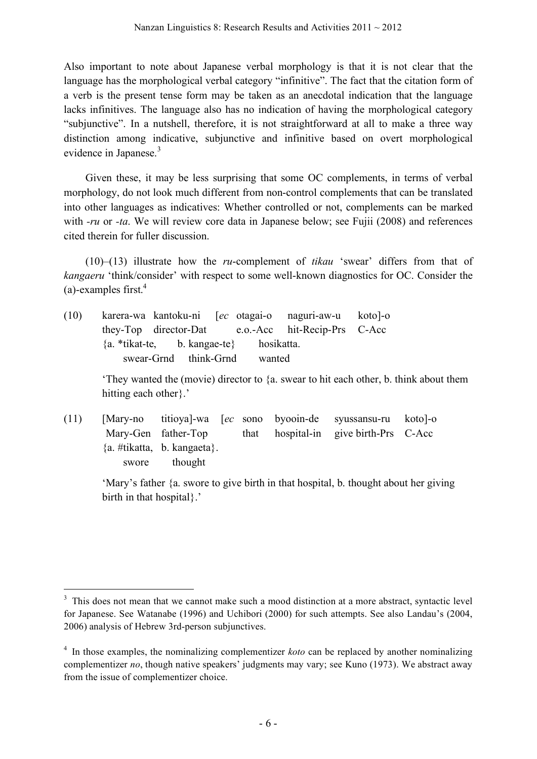Also important to note about Japanese verbal morphology is that it is not clear that the language has the morphological verbal category "infinitive". The fact that the citation form of a verb is the present tense form may be taken as an anecdotal indication that the language lacks infinitives. The language also has no indication of having the morphological category "subjunctive". In a nutshell, therefore, it is not straightforward at all to make a three way distinction among indicative, subjunctive and infinitive based on overt morphological evidence in Japanese.<sup>3</sup>

Given these, it may be less surprising that some OC complements, in terms of verbal morphology, do not look much different from non-control complements that can be translated into other languages as indicatives: Whether controlled or not, complements can be marked with *-ru* or *-ta*. We will review core data in Japanese below; see Fujii (2008) and references cited therein for fuller discussion.

(10)–(13) illustrate how the *ru*-complement of *tikau* 'swear' differs from that of *kangaeru* 'think/consider' with respect to some well-known diagnostics for OC. Consider the (a)-examples first. 4

(10) karera-wa kantoku-ni [*ec* otagai-o naguri-aw-u koto]-o they-Top director-Dat e.o.-Acc hit-Recip-Prs C-Acc {a. \*tikat-te, b. kangae-te} hosikatta. swear-Grnd think-Grnd wanted

> 'They wanted the (movie) director to {a. swear to hit each other, b. think about them hitting each other ?.'

(11) [Mary-no titioya]-wa [*ec* sono byooin-de syussansu-ru koto]-o Mary-Gen father-Top that hospital-in give birth-Prs C-Acc {a. #tikatta, b. kangaeta}. swore thought

> 'Mary's father {a. swore to give birth in that hospital, b. thought about her giving birth in that hospital}.'

<sup>&</sup>lt;sup>3</sup> This does not mean that we cannot make such a mood distinction at a more abstract, syntactic level for Japanese. See Watanabe (1996) and Uchibori (2000) for such attempts. See also Landau's (2004, 2006) analysis of Hebrew 3rd-person subjunctives.

<sup>4</sup> In those examples, the nominalizing complementizer *koto* can be replaced by another nominalizing complementizer *no*, though native speakers' judgments may vary; see Kuno (1973). We abstract away from the issue of complementizer choice.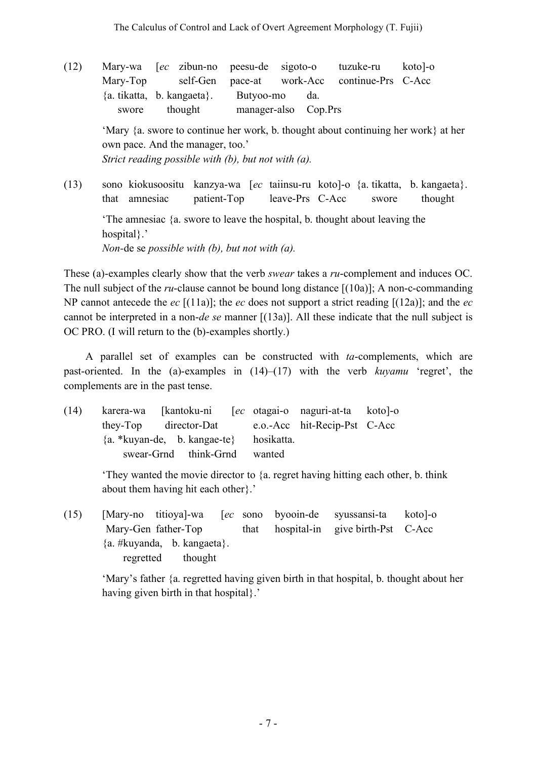(12) Mary-wa [*ec* zibun-no peesu-de sigoto-o tuzuke-ru koto]-o Mary-Top self-Gen pace-at work-Acc continue-Prs C-Acc {a. tikatta, b. kangaeta}. Butyoo-mo da. swore thought manager-also Cop.Prs

> 'Mary {a. swore to continue her work, b. thought about continuing her work} at her own pace. And the manager, too.' *Strict reading possible with (b), but not with (a).*

(13) sono kiokusoositu kanzya-wa [*ec* taiinsu-ru koto]-o {a. tikatta, b. kangaeta}. that amnesiac patient-Top leave-Prs C-Acc swore thought 'The amnesiac {a. swore to leave the hospital, b. thought about leaving the hospital}.' *Non-*de se *possible with (b), but not with (a).*

These (a)-examples clearly show that the verb *swear* takes a *ru*-complement and induces OC. The null subject of the *ru*-clause cannot be bound long distance  $[(10a)]$ ; A non-c-commanding NP cannot antecede the *ec* [(11a)]; the *ec* does not support a strict reading [(12a)]; and the *ec* cannot be interpreted in a non-*de se* manner [(13a)]. All these indicate that the null subject is OC PRO. (I will return to the (b)-examples shortly.)

A parallel set of examples can be constructed with *ta*-complements, which are past-oriented. In the (a)-examples in (14)–(17) with the verb *kuyamu* 'regret', the complements are in the past tense.

(14) karera-wa [kantoku-ni [*ec* otagai-o naguri-at-ta koto]-o they-Top director-Dat e.o.-Acc hit-Recip-Pst C-Acc {a. \*kuyan-de, b. kangae-te} hosikatta. swear-Grnd think-Grnd wanted

> 'They wanted the movie director to {a. regret having hitting each other, b. think about them having hit each other}.'

(15) [Mary-no titioya]-wa [*ec* sono byooin-de syussansi-ta koto]-o Mary-Gen father-Top that hospital-in give birth-Pst C-Acc {a. #kuyanda, b. kangaeta}. regretted thought

> 'Mary's father {a. regretted having given birth in that hospital, b. thought about her having given birth in that hospital}.'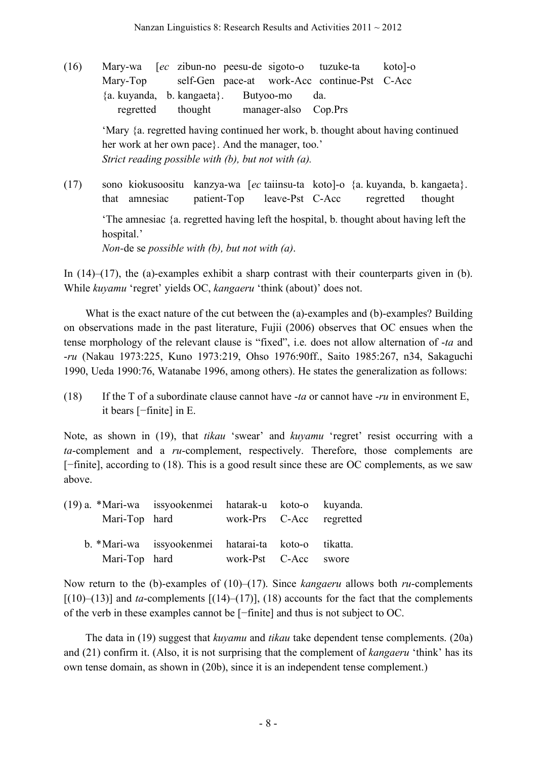(16) Mary-wa [*ec* zibun-no peesu-de sigoto-o tuzuke-ta koto]-o Mary-Top self-Gen pace-at work-Acc continue-Pst C-Acc {a. kuyanda, b. kangaeta}. Butyoo-mo da. regretted thought manager-also Cop.Prs

> 'Mary {a. regretted having continued her work, b. thought about having continued her work at her own pace}. And the manager, too.' *Strict reading possible with (b), but not with (a).*

(17) sono kiokusoositu kanzya-wa [*ec* taiinsu-ta koto]-o {a. kuyanda, b. kangaeta}. that amnesiac patient-Top leave-Pst C-Acc regretted thought 'The amnesiac {a. regretted having left the hospital, b. thought about having left the hospital.' *Non-*de se *possible with (b), but not with (a)*.

In  $(14)$ – $(17)$ , the  $(a)$ -examples exhibit a sharp contrast with their counterparts given in (b). While *kuyamu* 'regret' yields OC, *kangaeru* 'think (about)' does not.

What is the exact nature of the cut between the (a)-examples and (b)-examples? Building on observations made in the past literature, Fujii (2006) observes that OC ensues when the tense morphology of the relevant clause is "fixed", i.e. does not allow alternation of -*ta* and -*ru* (Nakau 1973:225, Kuno 1973:219, Ohso 1976:90ff., Saito 1985:267, n34, Sakaguchi 1990, Ueda 1990:76, Watanabe 1996, among others). He states the generalization as follows:

(18) If the T of a subordinate clause cannot have -*ta* or cannot have -*ru* in environment E, it bears [−finite] in E.

Note, as shown in (19), that *tikau* 'swear' and *kuyamu* 'regret' resist occurring with a *ta*-complement and a *ru*-complement, respectively. Therefore, those complements are [−finite], according to (18). This is a good result since these are OC complements, as we saw above.

|               | (19) a. *Mari-wa issyookenmei hatarak-u koto-o kuyanda. |                          |  |
|---------------|---------------------------------------------------------|--------------------------|--|
| Mari-Top hard |                                                         | work-Prs C-Acc regretted |  |
|               |                                                         |                          |  |
|               |                                                         |                          |  |
|               | b. *Mari-wa issyookenmei hatarai-ta koto-o tikatta.     |                          |  |

Now return to the (b)-examples of (10)–(17). Since *kangaeru* allows both *ru*-complements  $[(10)–(13)]$  and *ta*-complements  $[(14)–(17)]$ ,  $(18)$  accounts for the fact that the complements of the verb in these examples cannot be [−finite] and thus is not subject to OC.

The data in (19) suggest that *kuyamu* and *tikau* take dependent tense complements. (20a) and (21) confirm it. (Also, it is not surprising that the complement of *kangaeru* 'think' has its own tense domain, as shown in (20b), since it is an independent tense complement.)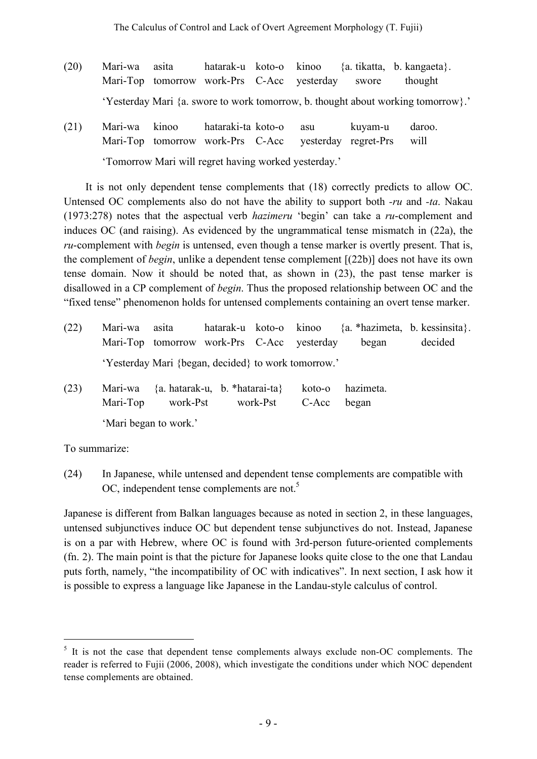- (20) Mari-wa asita hatarak-u koto-o kinoo {a. tikatta, b. kangaeta}. Mari-Top tomorrow work-Prs C-Acc yesterday swore thought 'Yesterday Mari {a. swore to work tomorrow, b. thought about working tomorrow}.'
- (21) Mari-wa kinoo hataraki-ta koto-o asu kuyam-u daroo. Mari-Top tomorrow work-Prs C-Acc yesterday regret-Prs will 'Tomorrow Mari will regret having worked yesterday.'

It is not only dependent tense complements that (18) correctly predicts to allow OC. Untensed OC complements also do not have the ability to support both *-ru* and *-ta*. Nakau (1973:278) notes that the aspectual verb *hazimeru* 'begin' can take a *ru*-complement and induces OC (and raising). As evidenced by the ungrammatical tense mismatch in (22a), the *ru*-complement with *begin* is untensed, even though a tense marker is overtly present. That is, the complement of *begin*, unlike a dependent tense complement [(22b)] does not have its own tense domain. Now it should be noted that, as shown in (23), the past tense marker is disallowed in a CP complement of *begin*. Thus the proposed relationship between OC and the "fixed tense" phenomenon holds for untensed complements containing an overt tense marker.

- (22) Mari-wa asita hatarak-u koto-o kinoo {a. \*hazimeta, b. kessinsita}. Mari-Top tomorrow work-Prs C-Acc yesterday began decided 'Yesterday Mari {began, decided} to work tomorrow.'
- (23) Mari-wa {a. hatarak-u, b. \*hatarai-ta} koto-o hazimeta. Mari-Top work-Pst work-Pst C-Acc began 'Mari began to work.'

To summarize:

(24) In Japanese, while untensed and dependent tense complements are compatible with OC, independent tense complements are not.<sup>5</sup>

Japanese is different from Balkan languages because as noted in section 2, in these languages, untensed subjunctives induce OC but dependent tense subjunctives do not. Instead, Japanese is on a par with Hebrew, where OC is found with 3rd-person future-oriented complements (fn. 2). The main point is that the picture for Japanese looks quite close to the one that Landau puts forth, namely, "the incompatibility of OC with indicatives". In next section, I ask how it is possible to express a language like Japanese in the Landau-style calculus of control.

 $5$  It is not the case that dependent tense complements always exclude non-OC complements. The reader is referred to Fujii (2006, 2008), which investigate the conditions under which NOC dependent tense complements are obtained.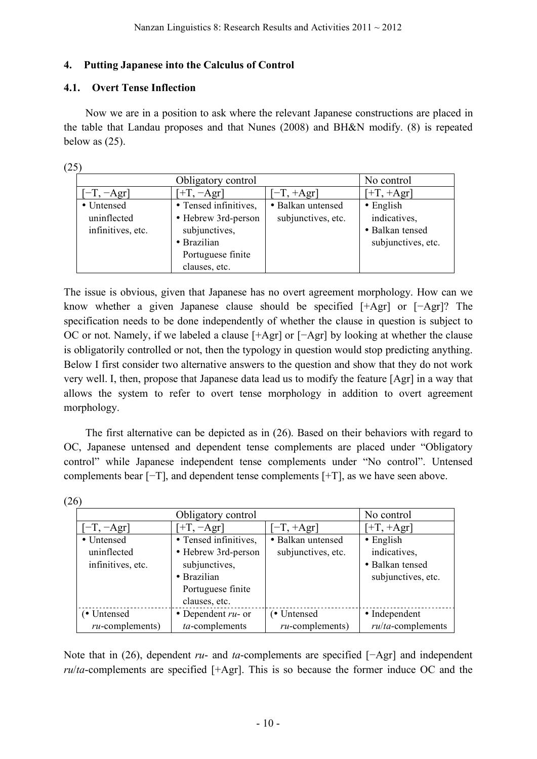## **4. Putting Japanese into the Calculus of Control**

## **4.1. Overt Tense Inflection**

Now we are in a position to ask where the relevant Japanese constructions are placed in the table that Landau proposes and that Nunes (2008) and BH&N modify. (8) is repeated below as (25).

| Obligatory control |                       |                    | No control         |
|--------------------|-----------------------|--------------------|--------------------|
| $[-T, -Agr]$       | $[-T, -Agr]$          | $-T, +Agr$         | $[-T, +Agr]$       |
| • Untensed         | • Tensed infinitives, | • Balkan untensed  | $\bullet$ English  |
| uninflected        | • Hebrew 3rd-person   | subjunctives, etc. | indicatives,       |
| infinitives, etc.  | subjunctives,         |                    | • Balkan tensed    |
|                    | · Brazilian           |                    | subjunctives, etc. |
|                    | Portuguese finite     |                    |                    |
|                    | clauses, etc.         |                    |                    |

The issue is obvious, given that Japanese has no overt agreement morphology. How can we know whether a given Japanese clause should be specified [+Agr] or [−Agr]? The specification needs to be done independently of whether the clause in question is subject to OC or not. Namely, if we labeled a clause [+Agr] or [−Agr] by looking at whether the clause is obligatorily controlled or not, then the typology in question would stop predicting anything. Below I first consider two alternative answers to the question and show that they do not work very well. I, then, propose that Japanese data lead us to modify the feature [Agr] in a way that allows the system to refer to overt tense morphology in addition to overt agreement morphology.

The first alternative can be depicted as in (26). Based on their behaviors with regard to OC, Japanese untensed and dependent tense complements are placed under "Obligatory control" while Japanese independent tense complements under "No control". Untensed complements bear [−T], and dependent tense complements [+T], as we have seen above.

| (26) |                    |                       |                    |                      |
|------|--------------------|-----------------------|--------------------|----------------------|
|      |                    | No control            |                    |                      |
|      | $[-T, -Agr]$       | $[+T, -Agr]$          | $-T, +Agr$         | $[+T, +Agr]$         |
|      | • Untensed         | • Tensed infinitives, | · Balkan untensed  | $\bullet$ English    |
|      | uninflected        | • Hebrew 3rd-person   | subjunctives, etc. | indicatives,         |
|      | infinitives, etc.  | subjunctives,         |                    | • Balkan tensed      |
|      |                    | • Brazilian           |                    | subjunctives, etc.   |
|      | Portuguese finite  |                       |                    |                      |
|      |                    | clauses, etc.         |                    |                      |
|      | • Untensed         | • Dependent $ru$ - or | (• Untensed        | • Independent        |
|      | $ru$ -complements) | $ta$ -complements     | $ru$ -complements) | $r$ u/ta-complements |

Note that in (26), dependent *ru*- and *ta*-complements are specified [−Agr] and independent *ru*/*ta*-complements are specified [+Agr]. This is so because the former induce OC and the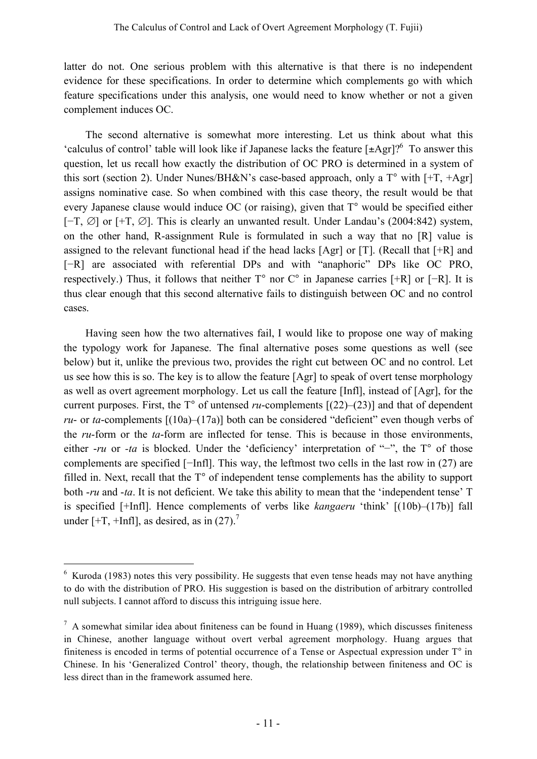latter do not. One serious problem with this alternative is that there is no independent evidence for these specifications. In order to determine which complements go with which feature specifications under this analysis, one would need to know whether or not a given complement induces OC.

The second alternative is somewhat more interesting. Let us think about what this 'calculus of control' table will look like if Japanese lacks the feature  $[\pm Agr]$ <sup>%</sup> To answer this question, let us recall how exactly the distribution of OC PRO is determined in a system of this sort (section 2). Under Nunes/BH&N's case-based approach, only a  $T^{\circ}$  with  $[+T, +Agr]$ assigns nominative case. So when combined with this case theory, the result would be that every Japanese clause would induce OC (or raising), given that T° would be specified either [−T, ∅] or [+T, ∅]. This is clearly an unwanted result. Under Landau's (2004:842) system, on the other hand, R-assignment Rule is formulated in such a way that no [R] value is assigned to the relevant functional head if the head lacks [Agr] or [T]. (Recall that [+R] and [−R] are associated with referential DPs and with "anaphoric" DPs like OC PRO, respectively.) Thus, it follows that neither T° nor C° in Japanese carries [+R] or [−R]. It is thus clear enough that this second alternative fails to distinguish between OC and no control cases.

Having seen how the two alternatives fail, I would like to propose one way of making the typology work for Japanese. The final alternative poses some questions as well (see below) but it, unlike the previous two, provides the right cut between OC and no control. Let us see how this is so. The key is to allow the feature [Agr] to speak of overt tense morphology as well as overt agreement morphology. Let us call the feature [Infl], instead of [Agr], for the current purposes. First, the  $T^{\circ}$  of untensed *ru*-complements  $[(22)-(23)]$  and that of dependent *ru*- or *ta*-complements [(10a)–(17a)] both can be considered "deficient" even though verbs of the *ru*-form or the *ta*-form are inflected for tense. This is because in those environments, either *-ru* or *-ta* is blocked. Under the 'deficiency' interpretation of "−", the T° of those complements are specified [−Infl]. This way, the leftmost two cells in the last row in (27) are filled in. Next, recall that the T° of independent tense complements has the ability to support both -*ru* and -*ta*. It is not deficient. We take this ability to mean that the 'independent tense' T is specified [+Infl]. Hence complements of verbs like *kangaeru* 'think' [(10b)–(17b)] fall under [ $+T$ ,  $+Inf1$ ], as desired, as in (27).<sup>7</sup>

<sup>&</sup>lt;sup>6</sup> Kuroda (1983) notes this very possibility. He suggests that even tense heads may not have anything to do with the distribution of PRO. His suggestion is based on the distribution of arbitrary controlled null subjects. I cannot afford to discuss this intriguing issue here.

 $<sup>7</sup>$  A somewhat similar idea about finiteness can be found in Huang (1989), which discusses finiteness</sup> in Chinese, another language without overt verbal agreement morphology. Huang argues that finiteness is encoded in terms of potential occurrence of a Tense or Aspectual expression under T° in Chinese. In his 'Generalized Control' theory, though, the relationship between finiteness and OC is less direct than in the framework assumed here.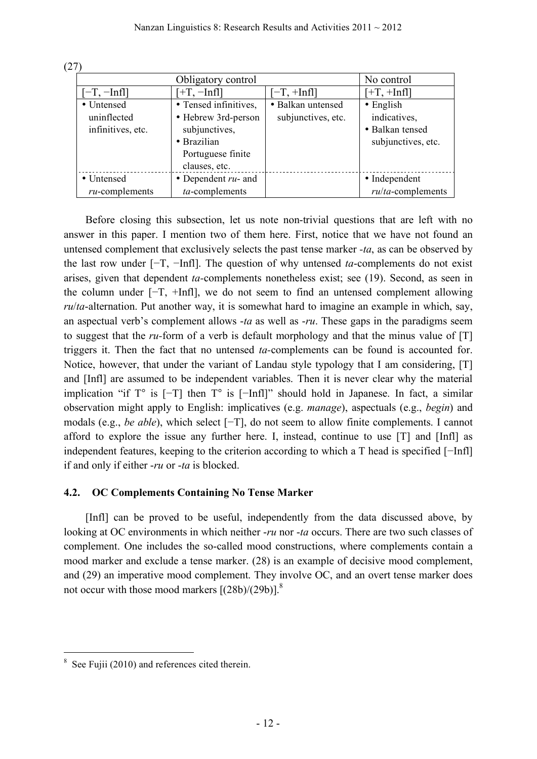| Obligatory control        |                                              |                                         | No control                        |
|---------------------------|----------------------------------------------|-----------------------------------------|-----------------------------------|
| $[-T, -Infl]$             | $[+T, -Infl]$                                | $[+T, +Infl]$                           |                                   |
| • Untensed<br>uninflected | • Tensed infinitives,<br>• Hebrew 3rd-person | · Balkan untensed<br>subjunctives, etc. | $\bullet$ English<br>indicatives, |
| infinitives, etc.         | subjunctives,                                |                                         | • Balkan tensed                   |
|                           | • Brazilian                                  |                                         | subjunctives, etc.                |
|                           | Portuguese finite<br>clauses, etc.           |                                         |                                   |
| • Untensed                | $\bullet$ Dependent $ru$ - and               |                                         | • Independent                     |
| $ru$ -complements         | $ta$ -complements                            |                                         | $ru/ta$ -complements              |

Before closing this subsection, let us note non-trivial questions that are left with no answer in this paper. I mention two of them here. First, notice that we have not found an untensed complement that exclusively selects the past tense marker *-ta*, as can be observed by the last row under [−T, −Infl]. The question of why untensed *ta*-complements do not exist arises, given that dependent *ta-*complements nonetheless exist; see (19). Second, as seen in the column under [−T, +Infl], we do not seem to find an untensed complement allowing *ru*/*ta*-alternation. Put another way, it is somewhat hard to imagine an example in which, say, an aspectual verb's complement allows -*ta* as well as -*ru*. These gaps in the paradigms seem to suggest that the *ru-*form of a verb is default morphology and that the minus value of [T] triggers it. Then the fact that no untensed *ta-*complements can be found is accounted for. Notice, however, that under the variant of Landau style typology that I am considering, [T] and [Infl] are assumed to be independent variables. Then it is never clear why the material implication "if T° is [−T] then T° is [−Infl]" should hold in Japanese. In fact, a similar observation might apply to English: implicatives (e.g. *manage*), aspectuals (e.g., *begin*) and modals (e.g., *be able*), which select [−T], do not seem to allow finite complements. I cannot afford to explore the issue any further here. I, instead, continue to use [T] and [Infl] as independent features, keeping to the criterion according to which a T head is specified [−Infl] if and only if either -*ru* or -*ta* is blocked.

## **4.2. OC Complements Containing No Tense Marker**

[Infl] can be proved to be useful, independently from the data discussed above, by looking at OC environments in which neither -*ru* nor -*ta* occurs. There are two such classes of complement. One includes the so-called mood constructions, where complements contain a mood marker and exclude a tense marker. (28) is an example of decisive mood complement, and (29) an imperative mood complement. They involve OC, and an overt tense marker does not occur with those mood markers  $[(28b)/(29b)]$ .

<sup>&</sup>lt;sup>8</sup> See Fujii (2010) and references cited therein.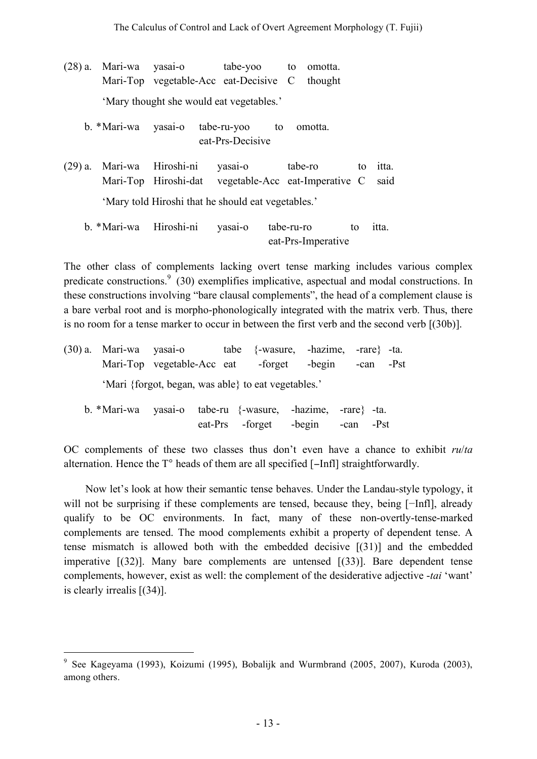- (28) a. Mari-wa yasai-o tabe-yoo to omotta. Mari-Top vegetable-Acc eat-Decisive C thought 'Mary thought she would eat vegetables.'
	- b. \*Mari-wa yasai-o tabe-ru-yoo to omotta. eat-Prs-Decisive
- (29) a. Mari-wa Hiroshi-ni yasai-o tabe-ro to itta. Mari-Top Hiroshi-dat vegetable-Acc eat-Imperative C said 'Mary told Hiroshi that he should eat vegetables.'

b. \*Mari-wa Hiroshi-ni yasai-o tabe-ru-ro to itta. eat-Prs-Imperative

The other class of complements lacking overt tense marking includes various complex predicate constructions.<sup>9</sup> (30) exemplifies implicative, aspectual and modal constructions. In these constructions involving "bare clausal complements", the head of a complement clause is a bare verbal root and is morpho-phonologically integrated with the matrix verb. Thus, there is no room for a tense marker to occur in between the first verb and the second verb [(30b)].

|  | $(30)$ a. Mari-wa yasai-o tabe {-wasure, -hazime, -rare} -ta. |  |           |  |
|--|---------------------------------------------------------------|--|-----------|--|
|  | Mari-Top vegetable-Acc eat -forget -begin                     |  | -can -Pst |  |
|  | 'Mari {forgot, began, was able} to eat vegetables.'           |  |           |  |

b. \*Mari-wa yasai-o tabe-ru {-wasure, -hazime, -rare} -ta. eat-Prs -forget -begin -can -Pst

OC complements of these two classes thus don't even have a chance to exhibit *ru*/*ta* alternation. Hence the T° heads of them are all specified [−Infl] straightforwardly.

Now let's look at how their semantic tense behaves. Under the Landau-style typology, it will not be surprising if these complements are tensed, because they, being [−Infl], already qualify to be OC environments. In fact, many of these non-overtly-tense-marked complements are tensed. The mood complements exhibit a property of dependent tense. A tense mismatch is allowed both with the embedded decisive [(31)] and the embedded imperative  $[(32)]$ . Many bare complements are untensed  $[(33)]$ . Bare dependent tense complements, however, exist as well: the complement of the desiderative adjective -*tai* 'want' is clearly irrealis [(34)].

 <sup>9</sup> See Kageyama (1993), Koizumi (1995), Bobalijk and Wurmbrand (2005, 2007), Kuroda (2003), among others.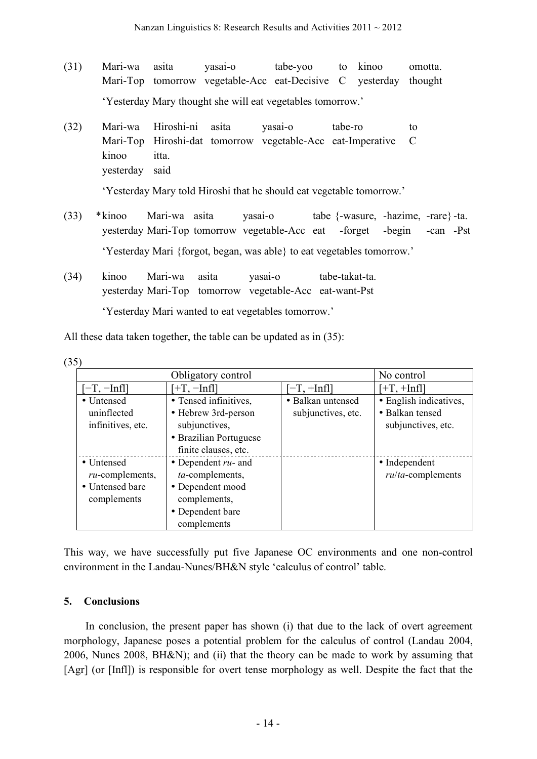- (31) Mari-wa asita yasai-o tabe-yoo to kinoo omotta. Mari-Top tomorrow vegetable-Acc eat-Decisive C yesterday thought 'Yesterday Mary thought she will eat vegetables tomorrow.'
- (32) Mari-wa Hiroshi-ni asita yasai-o tabe-ro to Mari-Top Hiroshi-dat tomorrow vegetable-Acc eat-Imperative C kinoo itta. yesterday said

'Yesterday Mary told Hiroshi that he should eat vegetable tomorrow.'

- (33) \*kinoo Mari-wa asita yasai-o tabe {-wasure, -hazime, -rare} -ta. yesterday Mari-Top tomorrow vegetable-Acc eat -forget -begin -can -Pst 'Yesterday Mari {forgot, began, was able} to eat vegetables tomorrow.'
- (34) kinoo Mari-wa asita yasai-o tabe-takat-ta. yesterday Mari-Top tomorrow vegetable-Acc eat-want-Pst

'Yesterday Mari wanted to eat vegetables tomorrow.'

All these data taken together, the table can be updated as in (35):

|                                                                    | Obligatory control                                                                                               |                    | No control                            |
|--------------------------------------------------------------------|------------------------------------------------------------------------------------------------------------------|--------------------|---------------------------------------|
| $[-T, -Infl]$                                                      | $[-T, -Infl]$                                                                                                    | $-T, +Infl$ ]      | $+T, +Infl]$                          |
| • Untensed                                                         | • Tensed infinitives,                                                                                            | • Balkan untensed  | • English indicatives,                |
| uninflected<br>infinitives, etc.                                   | • Hebrew 3rd-person<br>subjunctives,<br>• Brazilian Portuguese<br>finite clauses, etc.                           | subjunctives, etc. | • Balkan tensed<br>subjunctives, etc. |
| • Untensed<br>$ru$ -complements,<br>• Untensed bare<br>complements | • Dependent $ru$ - and<br>ta-complements,<br>• Dependent mood<br>complements,<br>• Dependent bare<br>complements |                    | • Independent<br>$ru/ta$ -complements |

This way, we have successfully put five Japanese OC environments and one non-control environment in the Landau-Nunes/BH&N style 'calculus of control' table.

# **5. Conclusions**

In conclusion, the present paper has shown (i) that due to the lack of overt agreement morphology, Japanese poses a potential problem for the calculus of control (Landau 2004, 2006, Nunes 2008, BH&N); and (ii) that the theory can be made to work by assuming that [Agr] (or [Infl]) is responsible for overt tense morphology as well. Despite the fact that the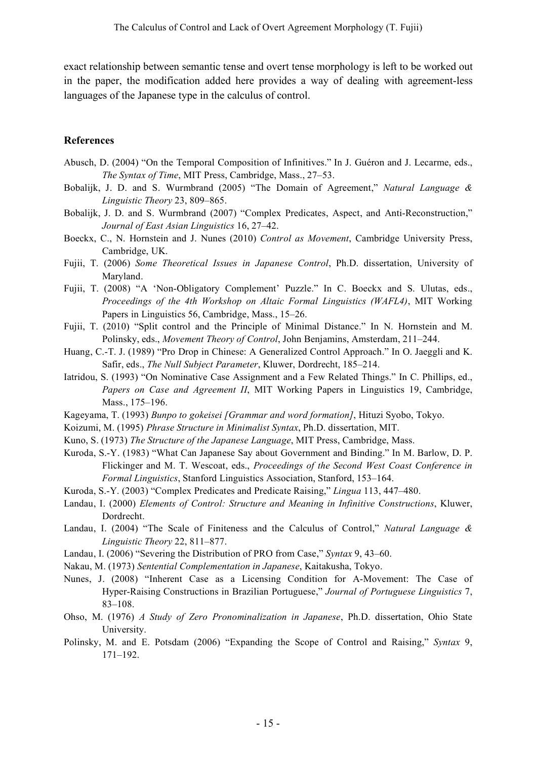exact relationship between semantic tense and overt tense morphology is left to be worked out in the paper, the modification added here provides a way of dealing with agreement-less languages of the Japanese type in the calculus of control.

### **References**

- Abusch, D. (2004) "On the Temporal Composition of Infinitives." In J. Guéron and J. Lecarme, eds., *The Syntax of Time*, MIT Press, Cambridge, Mass., 27–53.
- Bobalijk, J. D. and S. Wurmbrand (2005) "The Domain of Agreement," *Natural Language & Linguistic Theory* 23, 809–865.
- Bobalijk, J. D. and S. Wurmbrand (2007) "Complex Predicates, Aspect, and Anti-Reconstruction," *Journal of East Asian Linguistics* 16, 27–42.
- Boeckx, C., N. Hornstein and J. Nunes (2010) *Control as Movement*, Cambridge University Press, Cambridge, UK.
- Fujii, T. (2006) *Some Theoretical Issues in Japanese Control*, Ph.D. dissertation, University of Maryland.
- Fujii, T. (2008) "A 'Non-Obligatory Complement' Puzzle." In C. Boeckx and S. Ulutas, eds., *Proceedings of the 4th Workshop on Altaic Formal Linguistics (WAFL4)*, MIT Working Papers in Linguistics 56, Cambridge, Mass., 15–26.
- Fujii, T. (2010) "Split control and the Principle of Minimal Distance." In N. Hornstein and M. Polinsky, eds., *Movement Theory of Control*, John Benjamins, Amsterdam, 211–244.
- Huang, C.-T. J. (1989) "Pro Drop in Chinese: A Generalized Control Approach." In O. Jaeggli and K. Safir, eds., *The Null Subject Parameter*, Kluwer, Dordrecht, 185–214.
- Iatridou, S. (1993) "On Nominative Case Assignment and a Few Related Things." In C. Phillips, ed., *Papers on Case and Agreement II*, MIT Working Papers in Linguistics 19, Cambridge, Mass., 175–196.
- Kageyama, T. (1993) *Bunpo to gokeisei [Grammar and word formation]*, Hituzi Syobo, Tokyo.
- Koizumi, M. (1995) *Phrase Structure in Minimalist Syntax*, Ph.D. dissertation, MIT.
- Kuno, S. (1973) *The Structure of the Japanese Language*, MIT Press, Cambridge, Mass.
- Kuroda, S.-Y. (1983) "What Can Japanese Say about Government and Binding." In M. Barlow, D. P. Flickinger and M. T. Wescoat, eds., *Proceedings of the Second West Coast Conference in Formal Linguistics*, Stanford Linguistics Association, Stanford, 153–164.
- Kuroda, S.-Y. (2003) "Complex Predicates and Predicate Raising," *Lingua* 113, 447–480.
- Landau, I. (2000) *Elements of Control: Structure and Meaning in Infinitive Constructions*, Kluwer, Dordrecht.
- Landau, I. (2004) "The Scale of Finiteness and the Calculus of Control," *Natural Language & Linguistic Theory* 22, 811–877.
- Landau, I. (2006) "Severing the Distribution of PRO from Case," *Syntax* 9, 43–60.
- Nakau, M. (1973) *Sentential Complementation in Japanese*, Kaitakusha, Tokyo.
- Nunes, J. (2008) "Inherent Case as a Licensing Condition for A-Movement: The Case of Hyper-Raising Constructions in Brazilian Portuguese," *Journal of Portuguese Linguistics* 7, 83–108.
- Ohso, M. (1976) *A Study of Zero Pronominalization in Japanese*, Ph.D. dissertation, Ohio State University.
- Polinsky, M. and E. Potsdam (2006) "Expanding the Scope of Control and Raising," *Syntax* 9, 171–192.